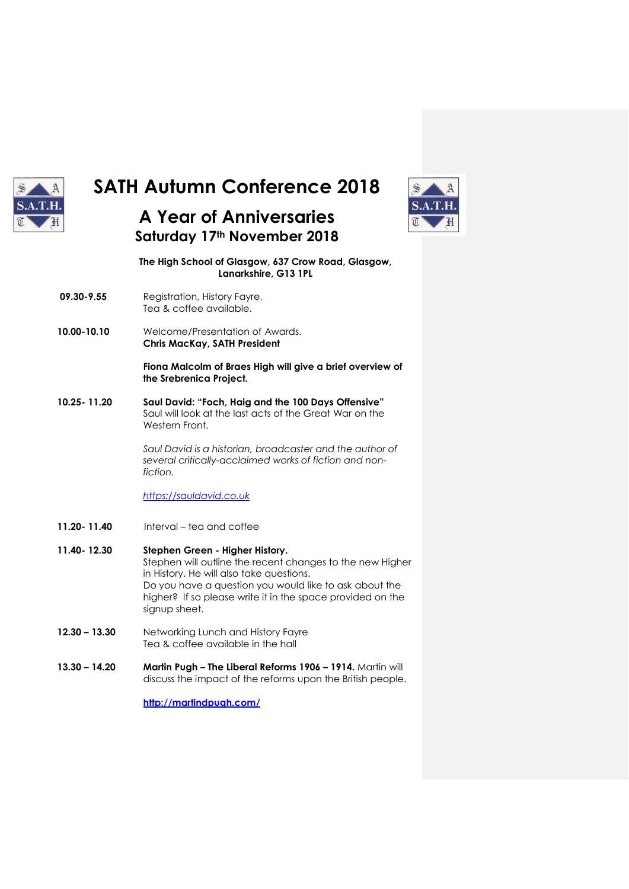

# **SATH Autumn Conference 2018**

# **A Year of Anniversaries Saturday 17th November 2018**



**The High School of Glasgow, 637 Crow Road, Glasgow, Lanarkshire, G13 1PL**

- **09.30-9.55** Registration, History Fayre, Tea & coffee available.
- **10.00-10.10** Welcome/Presentation of Awards. **Chris MacKay, SATH President**

**Fiona Malcolm of Braes High will give a brief overview of the Srebrenica Project.**

**10.25- 11.20 Saul David: "Foch, Haig and the 100 Days Offensive"** Saul will look at the last acts of the Great War on the Western Front.

> *Saul David is a historian, broadcaster and the author of several critically-acclaimed works of fiction and nonfiction.*

*[https://sauldavid.co.uk](https://sauldavid.co.uk/)*

- **11.20- 11.40** Interval tea and coffee
- **11.40- 12.30 Stephen Green - Higher History.** Stephen will outline the recent changes to the new Higher in History. He will also take questions. Do you have a question you would like to ask about the higher? If so please write it in the space provided on the signup sheet.
- **12.30 – 13.30** Networking Lunch and History Fayre Tea & coffee available in the hall
- **13.30 – 14.20 Martin Pugh – The Liberal Reforms 1906 – 1914.** Martin will discuss the impact of the reforms upon the British people.

**<http://martindpugh.com/>**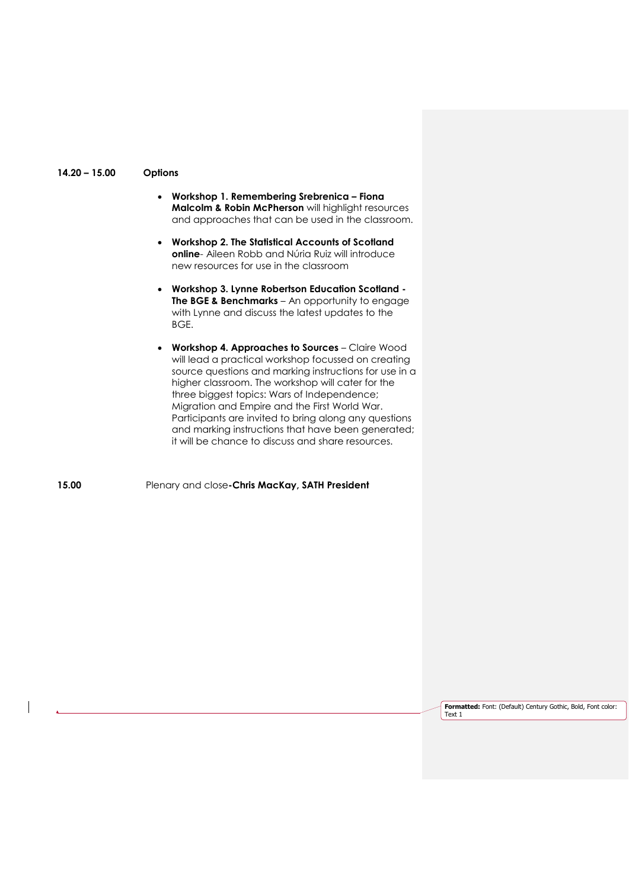#### **14.20 – 15.00 Options**

- **Workshop 1. Remembering Srebrenica – Fiona Malcolm & Robin McPherson** will highlight resources and approaches that can be used in the classroom.
- **Workshop 2. The Statistical Accounts of Scotland online**- Aileen Robb and Núria Ruiz will introduce new resources for use in the classroom
- **Workshop 3. Lynne Robertson Education Scotland - The BGE & Benchmarks** – An opportunity to engage with Lynne and discuss the latest updates to the BGE.
- **Workshop 4. Approaches to Sources**  Claire Wood will lead a practical workshop focussed on creating source questions and marking instructions for use in a higher classroom. The workshop will cater for the three biggest topics: Wars of Independence; Migration and Empire and the First World War. Participants are invited to bring along any questions and marking instructions that have been generated; it will be chance to discuss and share resources.

**15.00** Plenary and close**-Chris MacKay, SATH President**

**Formatted:** Font: (Default) Century Gothic, Bold, Font color: Text 1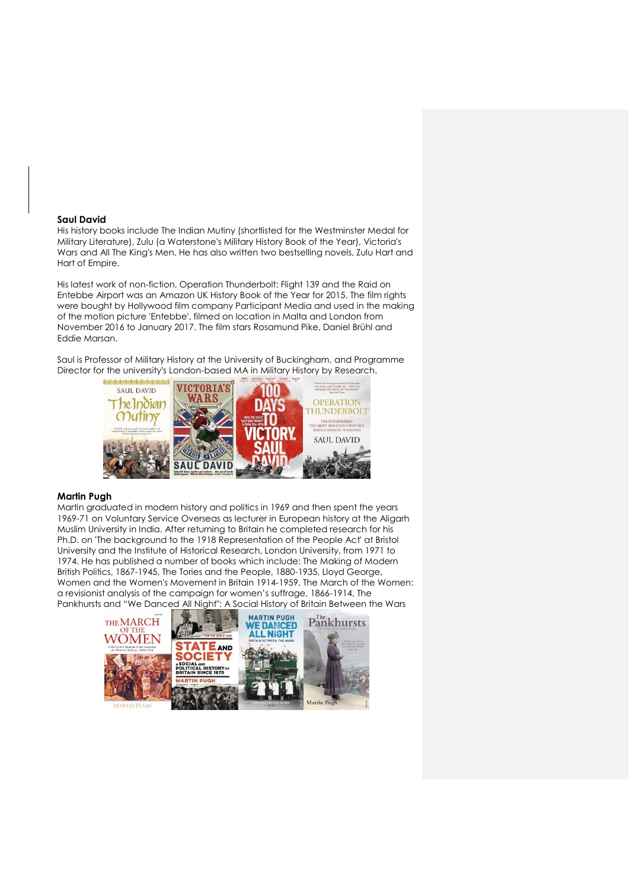#### **Saul David**

His history books include The Indian Mutiny (shortlisted for the Westminster Medal for Military Literature), Zulu (a Waterstone's Military History Book of the Year), Victoria's Wars and All The King's Men. He has also written two bestselling novels, Zulu Hart and Hart of Empire.

His latest work of non-fiction, Operation Thunderbolt: Flight 139 and the Raid on Entebbe Airport was an Amazon UK History Book of the Year for 2015. The film rights were bought by Hollywood film company Participant Media and used in the making of the motion picture 'Entebbe', filmed on location in Malta and London from November 2016 to January 2017. The film stars Rosamund Pike, Daniel Brühl and Eddie Marsan.

Saul is Professor of Military History at the University of Buckingham, and Programme Director for the university's London-based MA in Military History by Research.



#### **Martin Pugh**

Martin graduated in modern history and politics in 1969 and then spent the years 1969-71 on Voluntary Service Overseas as lecturer in European history at the Aligarh Muslim University in India. After returning to Britain he completed research for his Ph.D. on 'The background to the 1918 Representation of the People Act' at Bristol University and the Institute of Historical Research, London University, from 1971 to 1974. He has published a number of books which include: The Making of Modern British Politics, 1867-1945, The Tories and the People, 1880-1935, Lloyd George, Women and the Women's Movement in Britain 1914-1959, The March of the Women: a revisionist analysis of the campaign for women's suffrage, 1866-1914, The Pankhursts and "We Danced All Night": A Social History of Britain Between the Wars

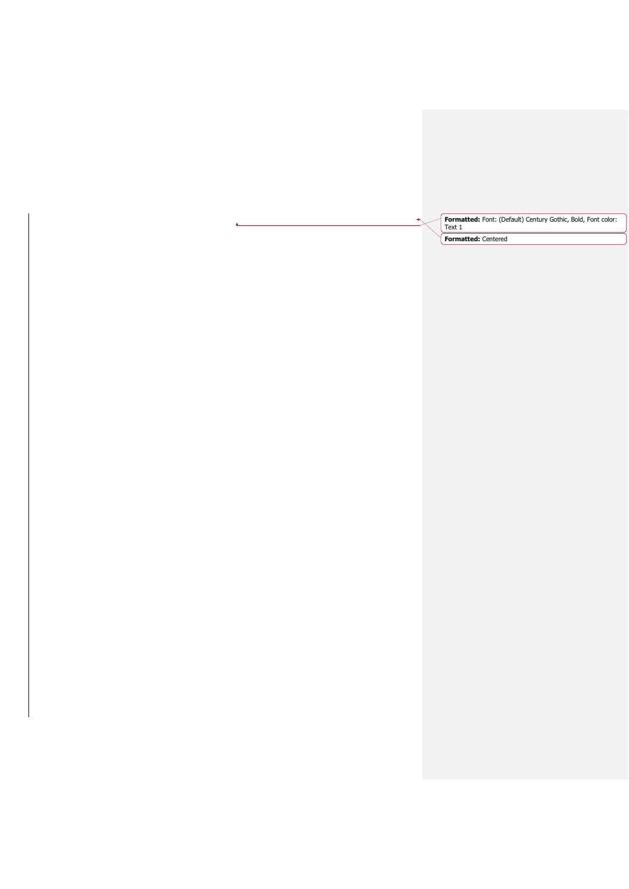**Formatted:** Font: (Default) Century Gothic, Bold, Font color: Text 1

**Formatted:** Centered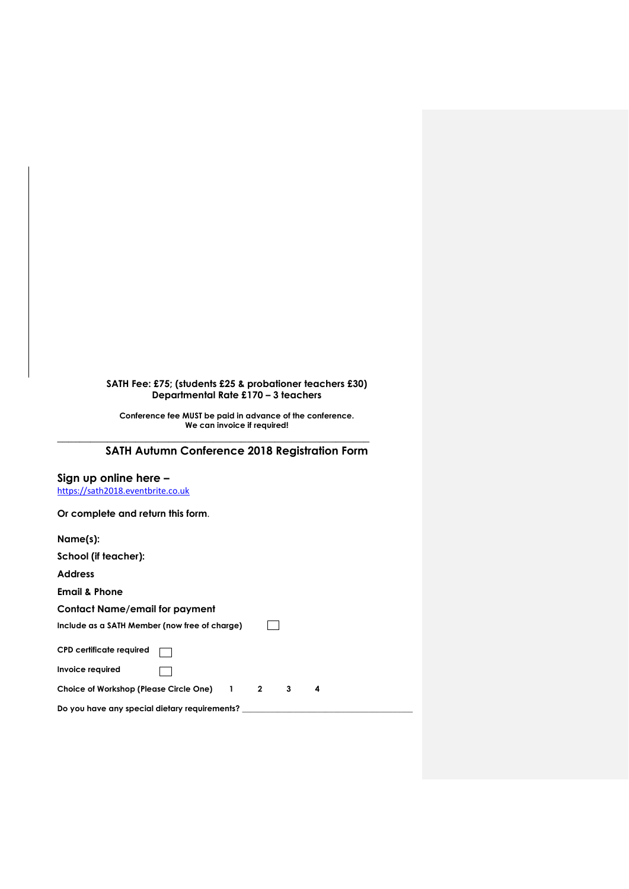### **SATH Fee: £75; (students £25 & probationer teachers £30) Departmental Rate £170 – 3 teachers**

**Conference fee MUST be paid in advance of the conference. We can invoice if required!**

# **SATH Autumn Conference 2018 Registration Form**

**\_\_\_\_\_\_\_\_\_\_\_\_\_\_\_\_\_\_\_\_\_\_\_\_\_\_\_\_\_\_\_\_\_\_\_\_\_\_\_\_\_\_\_\_\_\_\_\_\_\_\_\_\_\_\_\_**

## **Sign up online here –**

[https://sath2018.eventbrite.co.uk](https://sath2018.eventbrite.co.uk/)

**Or complete and return this form**.

| Name(s):                                      |              |   |   |
|-----------------------------------------------|--------------|---|---|
| School (if teacher):                          |              |   |   |
| <b>Address</b>                                |              |   |   |
| <b>Email &amp; Phone</b>                      |              |   |   |
| <b>Contact Name/email for payment</b>         |              |   |   |
| Include as a SATH Member (now free of charge) |              |   |   |
| <b>CPD certificate required</b>               |              |   |   |
| Invoice required                              |              |   |   |
| Choice of Workshop (Please Circle One) 1      | $\mathbf{2}$ | 3 | 4 |
| Do you have any special dietary requirements? |              |   |   |